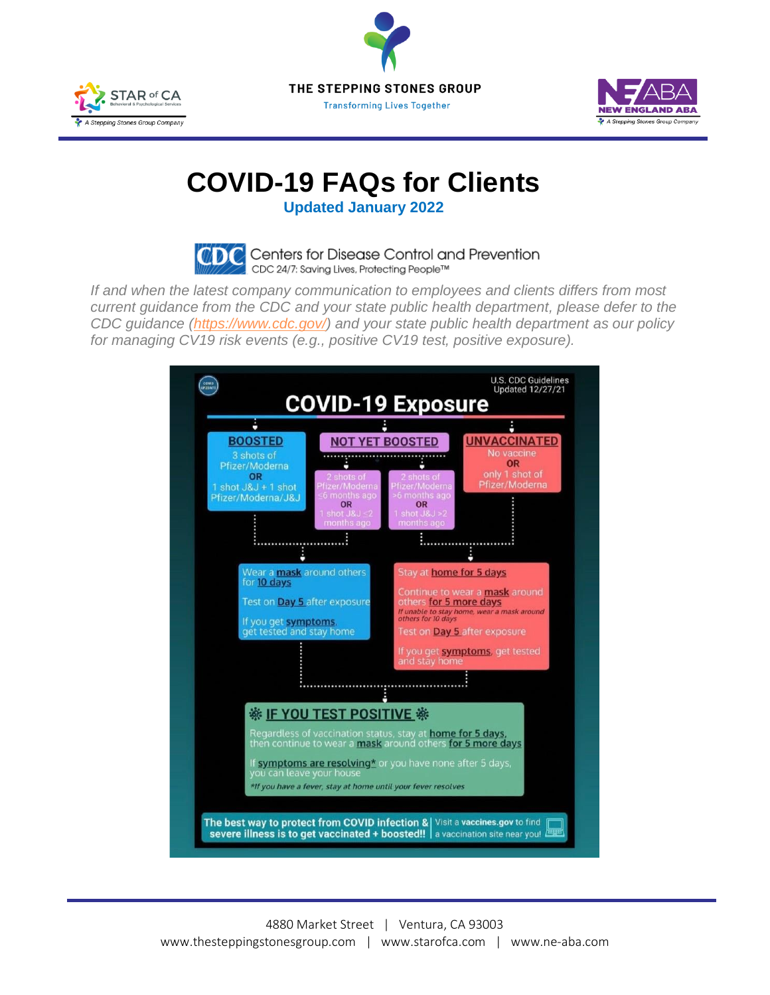





## **COVID-19 FAQs for Clients**

**Updated January 2022**



*If and when the latest company communication to employees and clients differs from most current guidance from the CDC and your state public health department, please defer to the CDC guidance [\(https://www.cdc.gov/\)](https://www.cdc.gov/) and your state public health department as our policy for managing CV19 risk events (e.g., positive CV19 test, positive exposure).*

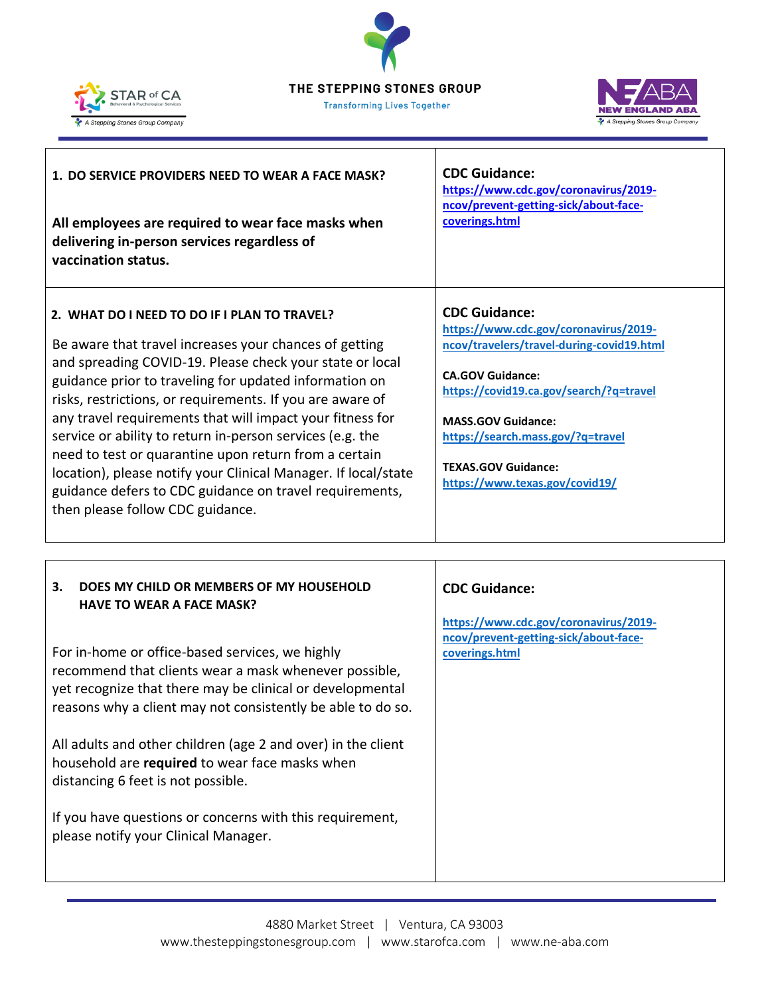

Г





٦

| 1. DO SERVICE PROVIDERS NEED TO WEAR A FACE MASK?                                                                                                                                                                                                                                                                                                                                                                                                                                                                                                                                                                                             | <b>CDC Guidance:</b>                                                                                                                                                                                                                                                                                               |
|-----------------------------------------------------------------------------------------------------------------------------------------------------------------------------------------------------------------------------------------------------------------------------------------------------------------------------------------------------------------------------------------------------------------------------------------------------------------------------------------------------------------------------------------------------------------------------------------------------------------------------------------------|--------------------------------------------------------------------------------------------------------------------------------------------------------------------------------------------------------------------------------------------------------------------------------------------------------------------|
| All employees are required to wear face masks when                                                                                                                                                                                                                                                                                                                                                                                                                                                                                                                                                                                            | https://www.cdc.gov/coronavirus/2019-                                                                                                                                                                                                                                                                              |
| delivering in-person services regardless of                                                                                                                                                                                                                                                                                                                                                                                                                                                                                                                                                                                                   | ncov/prevent-getting-sick/about-face-                                                                                                                                                                                                                                                                              |
| vaccination status.                                                                                                                                                                                                                                                                                                                                                                                                                                                                                                                                                                                                                           | coverings.html                                                                                                                                                                                                                                                                                                     |
| 2. WHAT DO I NEED TO DO IF I PLAN TO TRAVEL?<br>Be aware that travel increases your chances of getting<br>and spreading COVID-19. Please check your state or local<br>guidance prior to traveling for updated information on<br>risks, restrictions, or requirements. If you are aware of<br>any travel requirements that will impact your fitness for<br>service or ability to return in-person services (e.g. the<br>need to test or quarantine upon return from a certain<br>location), please notify your Clinical Manager. If local/state<br>guidance defers to CDC guidance on travel requirements,<br>then please follow CDC guidance. | <b>CDC Guidance:</b><br>https://www.cdc.gov/coronavirus/2019-<br>ncov/travelers/travel-during-covid19.html<br><b>CA.GOV Guidance:</b><br>https://covid19.ca.gov/search/?q=travel<br><b>MASS.GOV Guidance:</b><br>https://search.mass.gov/?q=travel<br><b>TEXAS.GOV Guidance:</b><br>https://www.texas.gov/covid19/ |

| 3.<br>DOES MY CHILD OR MEMBERS OF MY HOUSEHOLD<br><b>HAVE TO WEAR A FACE MASK?</b>                                                                                                                                                   | <b>CDC Guidance:</b>                                                                             |
|--------------------------------------------------------------------------------------------------------------------------------------------------------------------------------------------------------------------------------------|--------------------------------------------------------------------------------------------------|
| For in-home or office-based services, we highly<br>recommend that clients wear a mask whenever possible,<br>yet recognize that there may be clinical or developmental<br>reasons why a client may not consistently be able to do so. | https://www.cdc.gov/coronavirus/2019-<br>ncov/prevent-getting-sick/about-face-<br>coverings.html |
| All adults and other children (age 2 and over) in the client<br>household are required to wear face masks when<br>distancing 6 feet is not possible.                                                                                 |                                                                                                  |
| If you have questions or concerns with this requirement,<br>please notify your Clinical Manager.                                                                                                                                     |                                                                                                  |